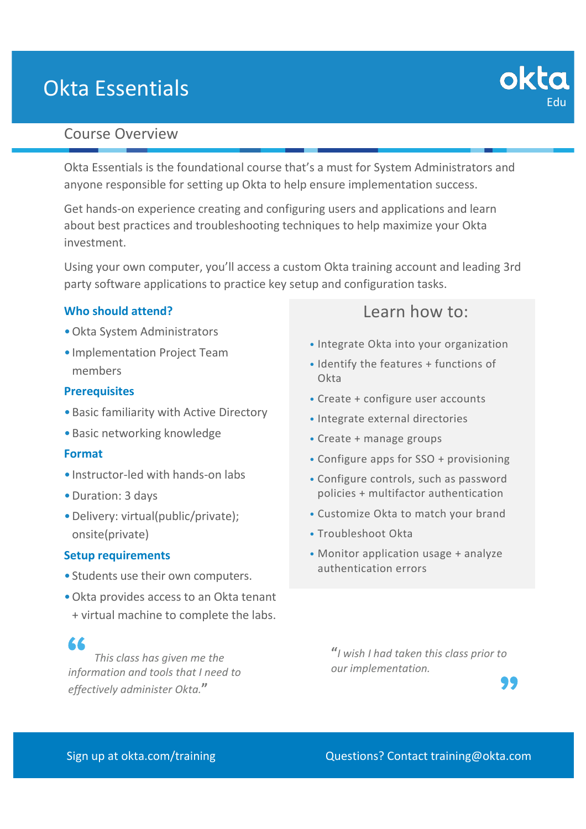# Okta Essentials

# Course Overview

Okta Essentials is the foundational course that's a must for System Administrators and anyone responsible for setting up Okta to help ensure implementation success.

Get hands-on experience creating and configuring users and applications and learn about best practices and troubleshooting techniques to help maximize your Okta investment.

Using your own computer, you'll access a custom Okta training account and leading 3rd party software applications to practice key setup and configuration tasks.

## **Who should attend?**

- •Okta System Administrators
- •Implementation Project Team members

## **Prerequisites**

- •Basic familiarity with Active Directory
- •Basic networking knowledge

### **Format**

- •Instructor-led with hands-on labs
- •Duration: 3 days
- •Delivery: virtual(public/private); onsite(private)

### **Setup requirements**

- •Students use their own computers.
- •Okta provides access to an Okta tenant + virtual machine to complete the labs.

# 66

*This class has given me the information and tools that I need to effectively administer Okta.***"**

# Learn how to:

- Integrate Okta into your organization
- Identify the features + functions of **Okta**
- Create + configure user accounts
- Integrate external directories
- Create + manage groups
- Configure apps for SSO + provisioning
- Configure controls, such as password policies + multifactor authentication
- Customize Okta to match your brand
- Troubleshoot Okta
- Monitor application usage + analyze authentication errors

**"***I wish I had taken this class prior to our implementation.* 



Edu

okto